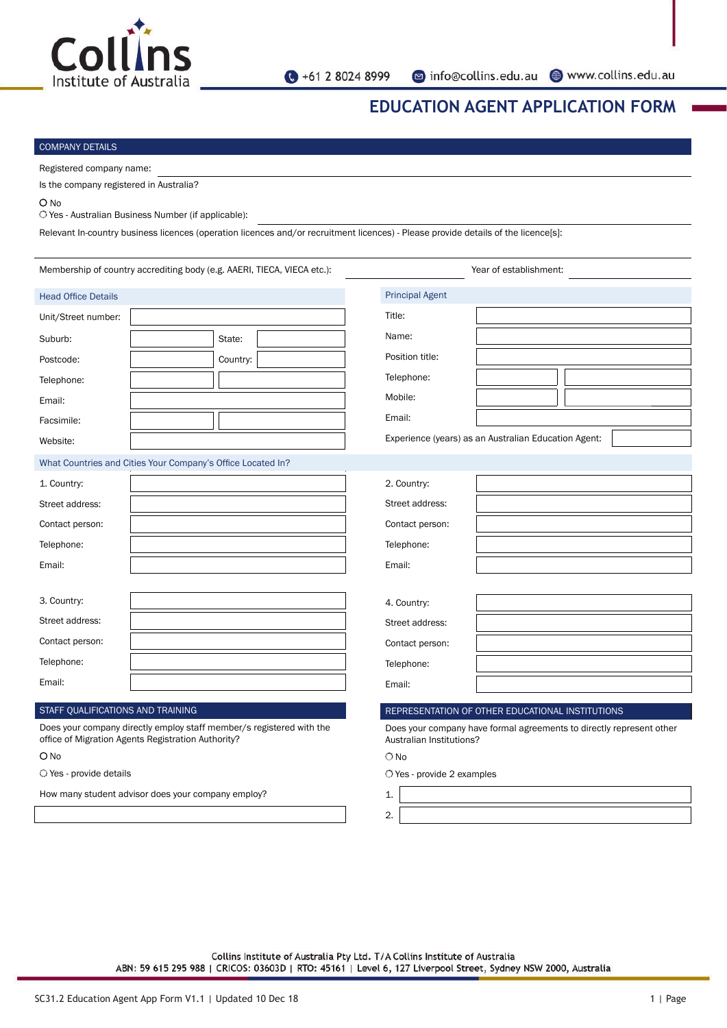

# **EDUCATION AGENT APPLICATION FORM**

#### COMPANY DETAILS

Registered company name: Is the company registered in Australia?

### O No

O Yes - Australian Business Number (if applicable):

Relevant In-country business licences (operation licences and/or recruitment licences) - Please provide details of the licence[s]:

| Membership of country accrediting body (e.g. AAERI, TIECA, VIECA etc.):                                                    |  |          |    | Year of establishment:                                                                           |  |  |  |  |
|----------------------------------------------------------------------------------------------------------------------------|--|----------|----|--------------------------------------------------------------------------------------------------|--|--|--|--|
| <b>Head Office Details</b>                                                                                                 |  |          |    | <b>Principal Agent</b>                                                                           |  |  |  |  |
| Unit/Street number:                                                                                                        |  |          |    | Title:                                                                                           |  |  |  |  |
| Suburb:                                                                                                                    |  | State:   |    | Name:                                                                                            |  |  |  |  |
| Postcode:                                                                                                                  |  | Country: |    | Position title:                                                                                  |  |  |  |  |
| Telephone:                                                                                                                 |  |          |    | Telephone:                                                                                       |  |  |  |  |
| Email:                                                                                                                     |  |          |    | Mobile:                                                                                          |  |  |  |  |
| Facsimile:                                                                                                                 |  |          |    | Email:                                                                                           |  |  |  |  |
| Website:                                                                                                                   |  |          |    | Experience (years) as an Australian Education Agent:                                             |  |  |  |  |
| What Countries and Cities Your Company's Office Located In?                                                                |  |          |    |                                                                                                  |  |  |  |  |
| 1. Country:                                                                                                                |  |          |    | 2. Country:                                                                                      |  |  |  |  |
| Street address:                                                                                                            |  |          |    | Street address:                                                                                  |  |  |  |  |
| Contact person:                                                                                                            |  |          |    | Contact person:                                                                                  |  |  |  |  |
| Telephone:                                                                                                                 |  |          |    | Telephone:                                                                                       |  |  |  |  |
| Email:                                                                                                                     |  |          |    | Email:                                                                                           |  |  |  |  |
|                                                                                                                            |  |          |    |                                                                                                  |  |  |  |  |
| 3. Country:                                                                                                                |  |          |    | 4. Country:                                                                                      |  |  |  |  |
| Street address:                                                                                                            |  |          |    | Street address:                                                                                  |  |  |  |  |
| Contact person:                                                                                                            |  |          |    | Contact person:                                                                                  |  |  |  |  |
| Telephone:                                                                                                                 |  |          |    | Telephone:                                                                                       |  |  |  |  |
| Email:                                                                                                                     |  |          |    | Email:                                                                                           |  |  |  |  |
| STAFF QUALIFICATIONS AND TRAINING                                                                                          |  |          |    | REPRESENTATION OF OTHER EDUCATIONAL INSTITUTIONS                                                 |  |  |  |  |
| Does your company directly employ staff member/s registered with the<br>office of Migration Agents Registration Authority? |  |          |    | Does your company have formal agreements to directly represent other<br>Australian Institutions? |  |  |  |  |
| $O$ No                                                                                                                     |  |          |    | $\bigcirc$ No                                                                                    |  |  |  |  |
| O Yes - provide details                                                                                                    |  |          |    | $\bigcirc$ Yes - provide 2 examples                                                              |  |  |  |  |
| How many student advisor does your company employ?                                                                         |  |          | 1. |                                                                                                  |  |  |  |  |
|                                                                                                                            |  |          |    | 2.                                                                                               |  |  |  |  |

Collins Institute of Australia Pty Ltd. T/A Collins Institute of Australia ABN: 59 615 295 988 | CRICOS: 03603D | RTO: 45161 | Level 6, 127 Liverpool Street, Sydney NSW 2000, Australia